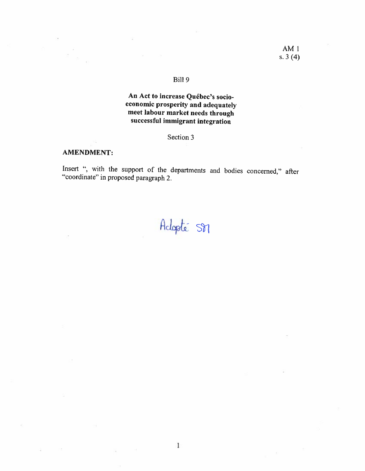$\overline{M}$ 

## Bill 9

# An Act to increase Québec's socioeconomic prosperity and adequately meet labour market needs through successful immigrant integration

## Section 3

#### **AMENDMENT:**

没

Insert ", with the support of the departments and bodies concerned," after "coordinate" in proposed paragraph 2.

Adopté SM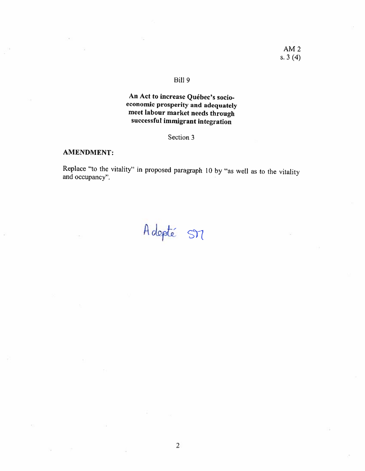# An Act to increase Québec's socio economic prosperity and adequately meet labour market needs through successful immigrant integration

## Section 3

# AMENDMENT:

Replace "to the vitality" in proposed paragraph <sup>10</sup> by "as well as to the vitality and occupancy".

Adopté SM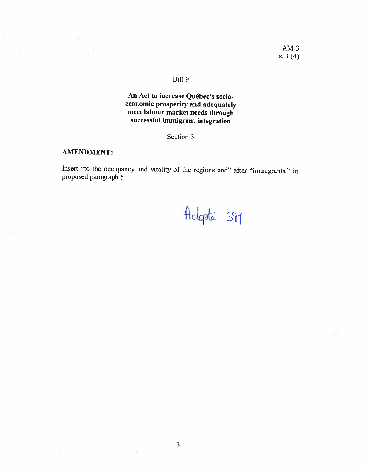34

## BilI 9

# An Act to increase Québec's socioeconomic prosperity and adequateJy meet labour market needs through successful immigrant integration

# Section 3

## **AMENDMENT:**

Insert "to the occupancy and vitality of the regions and" after "immigrants." in proposed paragraph 5.

Adgoté St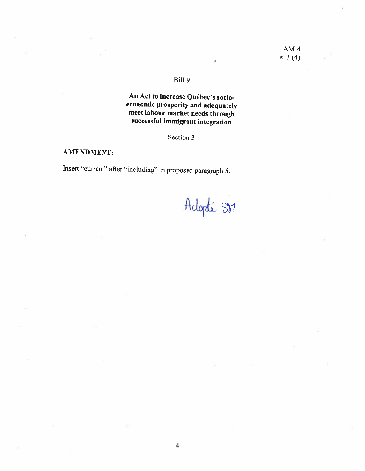An Act to increase Québec's socio economic prosperity and adequately meet labour market needs through successful immigrant integration

Section 3

# AMENDMENT:

Insert "current" after "including" in proposed paragraph 5.

Adopté SM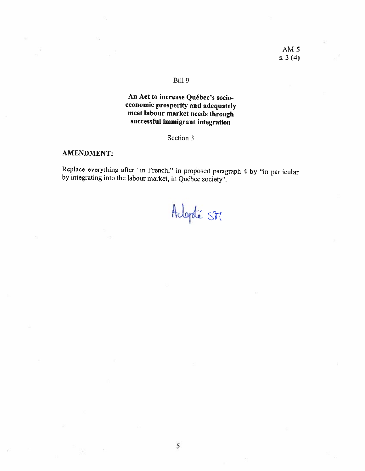# An Act to increase Québec's socioeconomic prosperity and adequately mcet labour market needs through successful immigrant integration

## Section 3

## AMENDMENT:

Replace everything after "in French," in proposed paragraph 4 by "in particular by integrating into the labour market, in Québec society".

Adopté St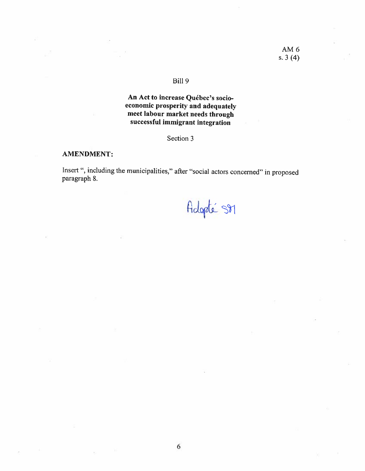#### BiH 9

# An Act to increase Québec's socio economic prosperity and adequately meet labour market needs through successful immigrant integration

# Section 3

## AMENDMENT:

Insert ", including the municipalities," after "social actors concerned" in proposed paragraph 8.

6

Adopté SM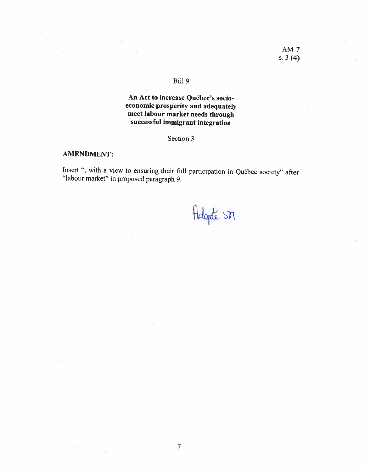ò.

## BilI 9

# An Act to increase Québec's socio economic prosperity and adequately meet labour market needs through successful immigrant integration

# Section 3

## AMENDMENT:

ò.

Insert ", with a view to ensuring their full participation in Québec society" after "labour market" in proposed paragraph 9.

Adopte SDT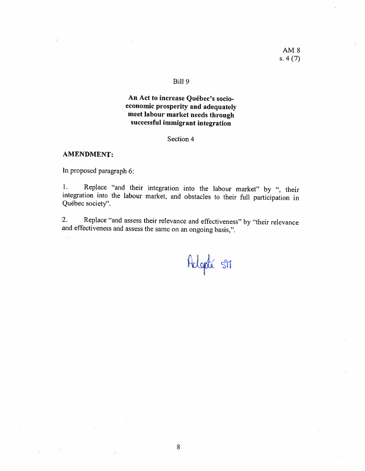# An Act to increase Québec's socioeconomic prosperity and adequately meet labour market needs through successful immigrant integration

Section 4

#### **AMENDMENT:**

In proposed paragraph 6:

Replace "and their integration into the labour market" by ", their 1. integration into the labour market, and obstacles to their full participation in Québec society".

Replace "and assess their relevance and effectiveness" by "their relevance  $2.$ and effectiveness and assess the same on an ongoing basis,".

Helgoté SM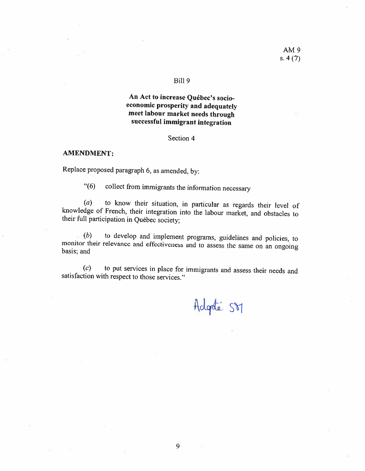#### BilI 9

# An Act to increase Québec's socio economic prosperity and adequately meet labour market needs through successful immigrant integration

#### Section 4

#### AMENDMENT:

Replace proposed paragraph 6, as amended, by:

"(6) collect from immigrants the information necessary

(a) to know their situation, in particular as regards their level of knowedge of French. their integration into the labour market, and obstacles to their full participation in Quéhec society;

 $(b)$  to develop and implement programs, guidelines and policies, to monitor their relevance and effectiveness and to assess the same on an ongoing basis; and

 $(c)$  to put services in place for immigrants and assess their needs and satisfaction with respect to those services."

Adgrée SVI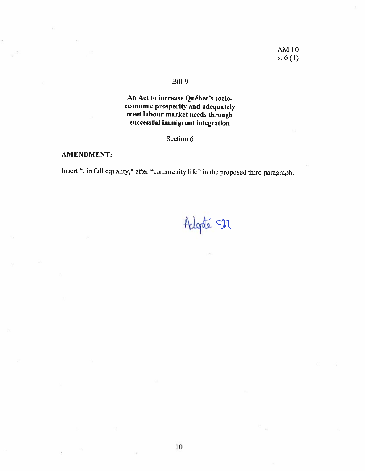## Bili 9

An Act to increase Québec's socio economic prosperity and adequately meet labour market needs through successful immigrant integration

Section 6

## AMENDMENT:

Insert ", in full equality," after "community life" in the proposed third paragraph.

Adopté SM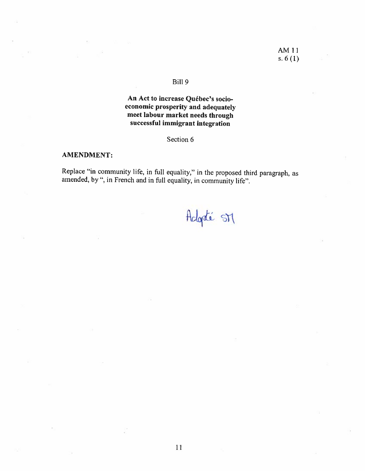#### BilI 9

# An Act to increase Québec's socio economic prosperity and adequately meet labour market needs through successful immigrant integration

## Section 6

## AMENDMENT:

Replace "in community life, in full equality," in the proposed third paragraph, as amended, by ", in French and in full equality, in community life".

Adopté SM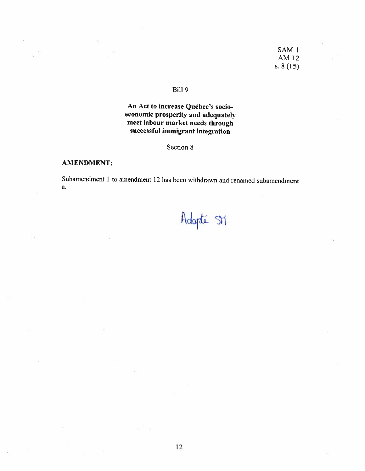## SAM<sub>1</sub> AM 12 s.  $8(15)$

# Bill 9

# An Act to increase Québec's socioeconomic prosperity and adequately meet labour market needs through successful immigrant integration

Section 8

#### **AMENDMENT:**

Subamendment 1 to amendment 12 has been withdrawn and renamed subamendment a.

Adopté SM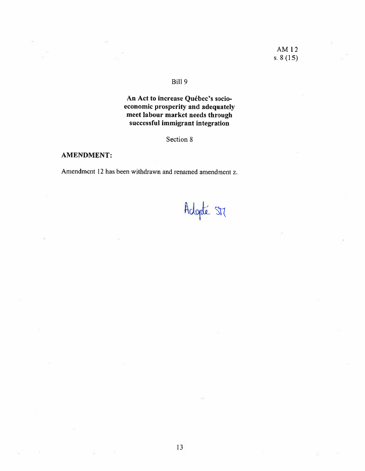# An Act to increase Québec's socioeconomic prosperity and adequately meet labour market needs through successful immigrant integration

# Section 8

## **AMENDMENT:**

Amendment 12 has been withdrawn and renamed amendment z.

Adopté St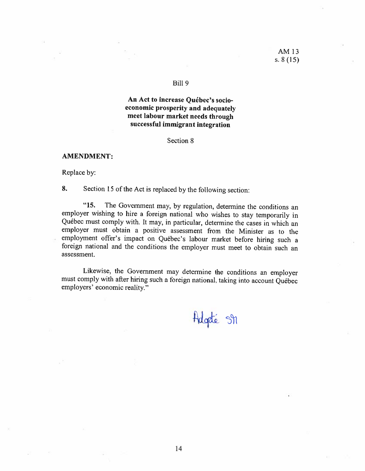## An Act to increase Québec's socioeconomic prosperity and adequately meet labour market needs through successful immigrant integration

Section 8

#### **AMENDMENT:**

Replace by:

8. Section 15 of the Act is replaced by the following section:

 $"15.$ The Government may, by regulation, determine the conditions an employer wishing to hire a foreign national who wishes to stay temporarily in Québec must comply with. It may, in particular, determine the cases in which an employer must obtain a positive assessment from the Minister as to the employment offer's impact on Québec's labour market before hiring such a foreign national and the conditions the employer must meet to obtain such an assessment.

Likewise, the Government may determine the conditions an employer must comply with after hiring such a foreign national, taking into account Québec employers' economic reality."

Hagdé Sh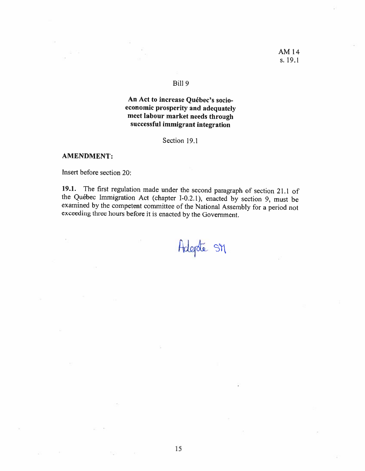## BilI 9

# An Act to increase Québec's socio economic prosperity and adequately meet labour market needs through successful immigrant integration

## Section 19.1

#### AMENDMENT:

Insert before section 20:

19.1. The first regulation made under the second paragraph of section 21.1 of the Québec Immigration Act (chapter I-0.21). enacted by section 9. must be examined by the competent committee of the National Assembly for a period not exceeding three hours before it is enacted by the Government.

Adepte SM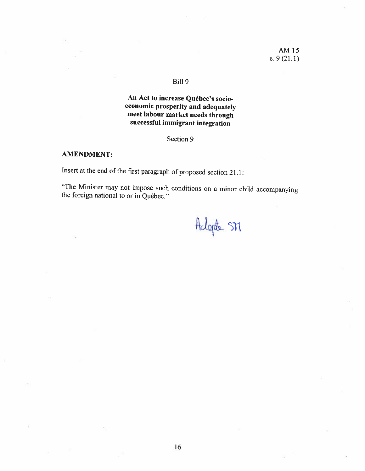#### Bili 9

# An Act to increase Québec's socio economic prosperity and adequately meet labour market needs through successful immigrant integration

Section 9

## AMENDMENT:

Insert at the end of the first paragraph of proposed section 21.1:

"The Minister may not impose such conditions on a minor child accompanying the foreign national to or in Québec."

Adopté SM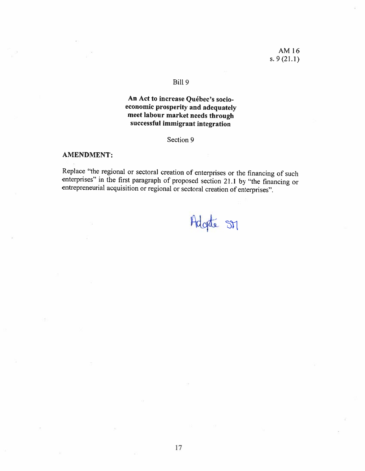## Bili 9

# An Act to increase Québec's socio economic prosperity and adequately meet labour market needs through successful immigrant integration

## Section Q

## AMENDMENT:

Replace "the regional or sectoral creation of enterprises or the financing of such enterprises" in the first paragraph of proposed section 21.1 by "the financing or entrepreneurial acquisition or regional or sectoral creat

Adgte SM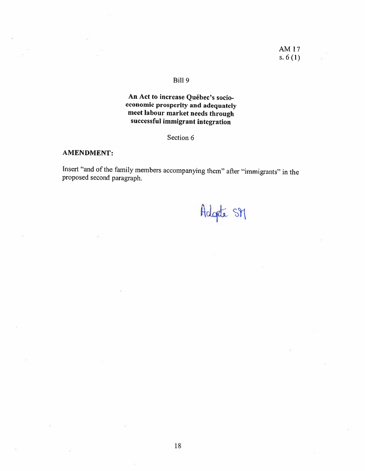# An Act to increase Québec's socioeconomic prosperity and adequately meet labour market needs through successful immigrant integration

## Section 6

## **AMENDMENT:**

Insert "and of the family members accompanying them" after "immigrants" in the proposed second paragraph.

Adopte SM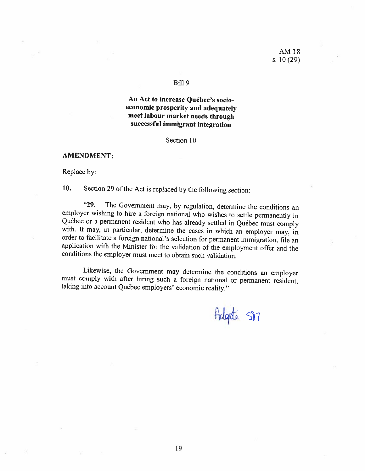An Act to increase Québec's socio economic prosperity and adequately meet labour market needs through successful immigrant integration

Section 10

AMENDMENT:

Replace by:

10. Section 29 of the Act is replaced by the following section:

"29. The Government may, by regulation, determine the conditions an employer wishing to hire a foreign national who wishes to settle permanently in Québec or a permanent resident who has already settled in Québec must comply with. It may, in particular, determine the cases in which an employer may, in order to facilitate a foreign national's selection for permanent im application with the Minister for the validation of the employment offer and the conditions the employer must meet to obtain such validation.

Likewise, the Government may determine the conditions an employer must comply with after hiring such a foreign national or permanent resident, taking into account Québec employers' economic reality."

Adgoté SM

19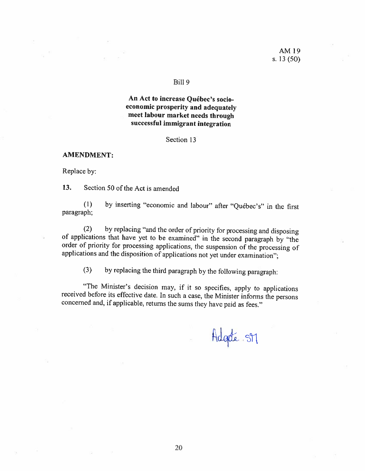## An Act to increase Québec's socioeconomic prosperity and adequately meet labour market needs through successful immigrant integration

Section 13

**AMENDMENT:** 

Replace by:

13. Section 50 of the Act is amended

by inserting "economic and labour" after "Québec's" in the first  $(1)$ paragraph;

by replacing "and the order of priority for processing and disposing  $(2)$ of applications that have yet to be examined" in the second paragraph by "the order of priority for processing applications, the suspension of the processing of applications and the disposition of applications not yet under examination";

by replacing the third paragraph by the following paragraph:  $(3)$ 

"The Minister's decision may, if it so specifies, apply to applications received before its effective date. In such a case, the Minister informs the persons concerned and, if applicable, returns the sums they have paid as fees."

Adgate SM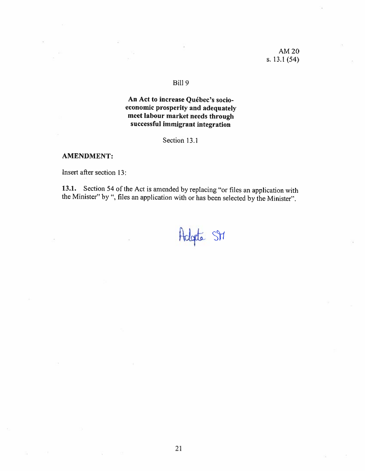AM 20 s. 13.1 (54)

## BiH 9

## An Act to increase Québec's socio economic prosperity and adequately meet labour market necds through successful immigrant integration

Section 13.1

#### AMENDMENT:

Insert afier section 13:

13.1. Section 54 of the Act is amended by replacing "or files an application with the Minister" by ", files an application with or has been selected by the Minister".

Adopte St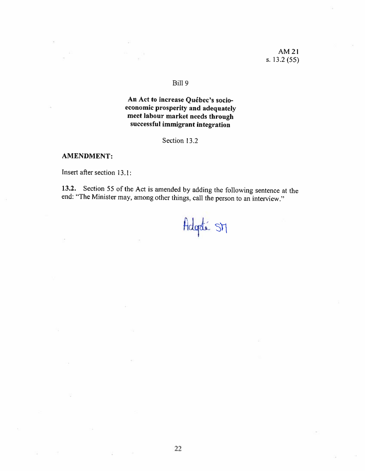AM 21 s. 13.2 (55)

#### BilI 9

# An Act to increase Québec's socio economic prosperity and adequatcly meet labour market needs through successful immigrant integration

Section 13.2

#### **AMENDMENT:**

Insert afier section 13.1:

13.2. Section 55 of the Act is amended by adding the following sentence at the end: "The Minister may, among other things, call the person to an interview."

# Adopté SM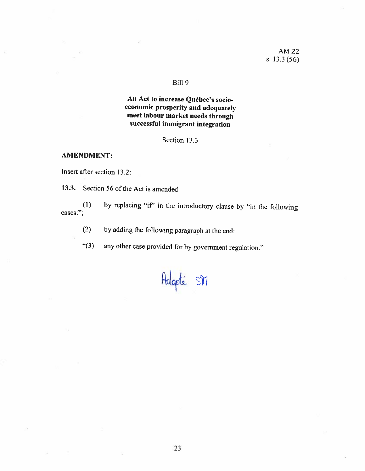# An Act to increase Québec's socioeconomic prosperity and adequately meet labour market needs through successful immigrant integration

Section 13.3

## **AMENDMENT:**

Insert after section 13.2:

13.3. Section 56 of the Act is amended

by replacing "if" in the introductory clause by "in the following  $(1)$ cases:";

by adding the following paragraph at the end:  $(2)$ 

any other case provided for by government regulation."  $"(3)$ 

Adopté SM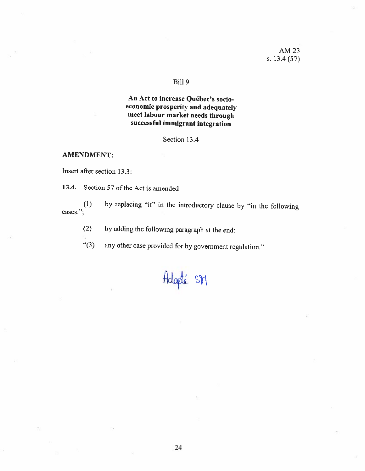# An Act to increase Québec's socioeconomic prosperity and adequately meet labour market needs through successful immigrant integration

Section 13.4

## **AMENDMENT:**

Insert after section 13.3:

13.4. Section 57 of the Act is amended

by replacing "if" in the introductory clause by "in the following  $(1)$ cases:";

by adding the following paragraph at the end:  $(2)$ 

any other case provided for by government regulation."  $(3)$ 

# Adopté SM